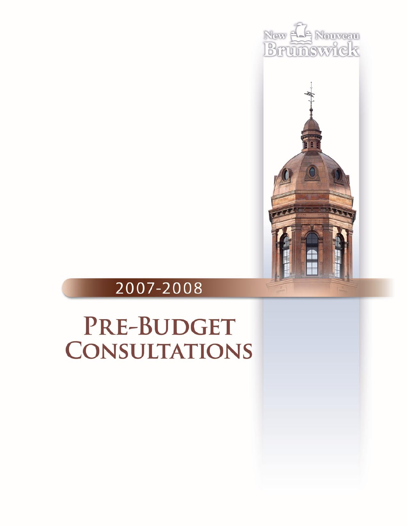



## 2007-2008

# PRE-BUDGET **CONSULTATIONS**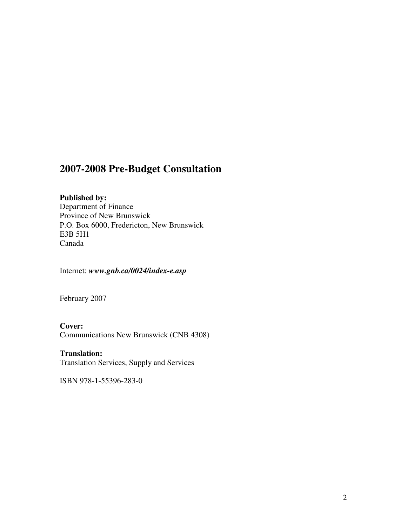### **2007-2008 Pre-Budget Consultation**

#### **Published by:**

Department of Finance Province of New Brunswick P.O. Box 6000, Fredericton, New Brunswick E3B 5H1 Canada

Internet: *www.gnb.ca/0024/index-e.asp*

February 2007

#### **Cover:**

Communications New Brunswick (CNB 4308)

#### **Translation:**

Translation Services, Supply and Services

ISBN 978-1-55396-283-0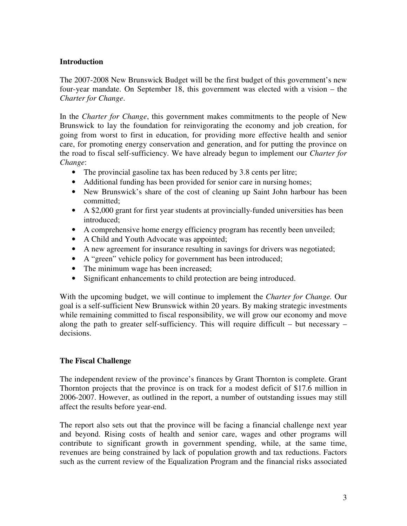#### **Introduction**

The 2007-2008 New Brunswick Budget will be the first budget of this government's new four-year mandate. On September 18, this government was elected with a vision – the *Charter for Change*.

In the *Charter for Change*, this government makes commitments to the people of New Brunswick to lay the foundation for reinvigorating the economy and job creation, for going from worst to first in education, for providing more effective health and senior care, for promoting energy conservation and generation, and for putting the province on the road to fiscal self-sufficiency. We have already begun to implement our *Charter for Change*:

- The provincial gasoline tax has been reduced by 3.8 cents per litre;
- Additional funding has been provided for senior care in nursing homes;
- New Brunswick's share of the cost of cleaning up Saint John harbour has been committed;
- A \$2,000 grant for first year students at provincially-funded universities has been introduced;
- A comprehensive home energy efficiency program has recently been unveiled;
- A Child and Youth Advocate was appointed;
- A new agreement for insurance resulting in savings for drivers was negotiated;
- A "green" vehicle policy for government has been introduced;
- The minimum wage has been increased;
- Significant enhancements to child protection are being introduced.

With the upcoming budget, we will continue to implement the *Charter for Change.* Our goal is a self-sufficient New Brunswick within 20 years. By making strategic investments while remaining committed to fiscal responsibility, we will grow our economy and move along the path to greater self-sufficiency. This will require difficult – but necessary – decisions.

#### **The Fiscal Challenge**

The independent review of the province's finances by Grant Thornton is complete. Grant Thornton projects that the province is on track for a modest deficit of \$17.6 million in 2006-2007. However, as outlined in the report, a number of outstanding issues may still affect the results before year-end.

The report also sets out that the province will be facing a financial challenge next year and beyond. Rising costs of health and senior care, wages and other programs will contribute to significant growth in government spending, while, at the same time, revenues are being constrained by lack of population growth and tax reductions. Factors such as the current review of the Equalization Program and the financial risks associated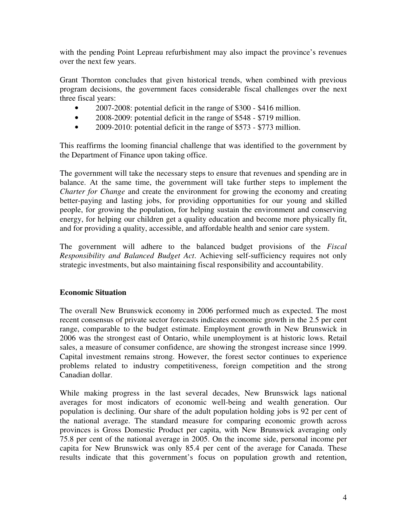with the pending Point Lepreau refurbishment may also impact the province's revenues over the next few years.

Grant Thornton concludes that given historical trends, when combined with previous program decisions, the government faces considerable fiscal challenges over the next three fiscal years:

- 2007-2008: potential deficit in the range of \$300 \$416 million.
- 2008-2009: potential deficit in the range of \$548 \$719 million.
- 2009-2010: potential deficit in the range of \$573 \$773 million.

This reaffirms the looming financial challenge that was identified to the government by the Department of Finance upon taking office.

The government will take the necessary steps to ensure that revenues and spending are in balance. At the same time, the government will take further steps to implement the *Charter for Change* and create the environment for growing the economy and creating better-paying and lasting jobs, for providing opportunities for our young and skilled people, for growing the population, for helping sustain the environment and conserving energy, for helping our children get a quality education and become more physically fit, and for providing a quality, accessible, and affordable health and senior care system.

The government will adhere to the balanced budget provisions of the *Fiscal Responsibility and Balanced Budget Act*. Achieving self-sufficiency requires not only strategic investments, but also maintaining fiscal responsibility and accountability.

#### **Economic Situation**

The overall New Brunswick economy in 2006 performed much as expected. The most recent consensus of private sector forecasts indicates economic growth in the 2.5 per cent range, comparable to the budget estimate. Employment growth in New Brunswick in 2006 was the strongest east of Ontario, while unemployment is at historic lows. Retail sales, a measure of consumer confidence, are showing the strongest increase since 1999. Capital investment remains strong. However, the forest sector continues to experience problems related to industry competitiveness, foreign competition and the strong Canadian dollar.

While making progress in the last several decades, New Brunswick lags national averages for most indicators of economic well-being and wealth generation. Our population is declining. Our share of the adult population holding jobs is 92 per cent of the national average. The standard measure for comparing economic growth across provinces is Gross Domestic Product per capita, with New Brunswick averaging only 75.8 per cent of the national average in 2005. On the income side, personal income per capita for New Brunswick was only 85.4 per cent of the average for Canada. These results indicate that this government's focus on population growth and retention,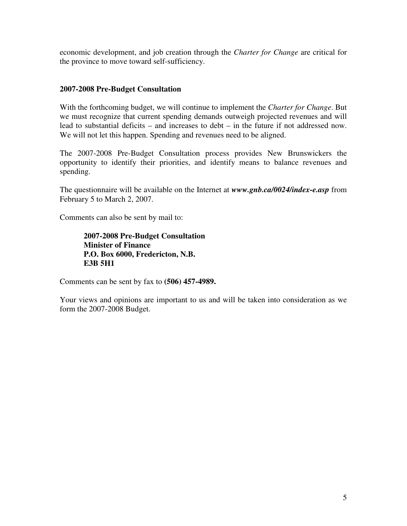economic development, and job creation through the *Charter for Change* are critical for the province to move toward self-sufficiency.

#### **2007-2008 Pre-Budget Consultation**

With the forthcoming budget, we will continue to implement the *Charter for Change*. But we must recognize that current spending demands outweigh projected revenues and will lead to substantial deficits – and increases to debt – in the future if not addressed now. We will not let this happen. Spending and revenues need to be aligned.

The 2007-2008 Pre-Budget Consultation process provides New Brunswickers the opportunity to identify their priorities, and identify means to balance revenues and spending.

The questionnaire will be available on the Internet at *www.gnb.ca/0024/index-e.asp* from February 5 to March 2, 2007.

Comments can also be sent by mail to:

**2007-2008 Pre-Budget Consultation Minister of Finance P.O. Box 6000, Fredericton, N.B. E3B 5H1**

Comments can be sent by fax to **(506) 457-4989.**

Your views and opinions are important to us and will be taken into consideration as we form the 2007-2008 Budget.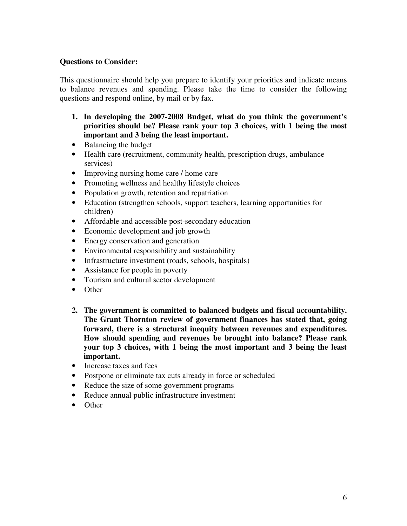#### **Questions to Consider:**

This questionnaire should help you prepare to identify your priorities and indicate means to balance revenues and spending. Please take the time to consider the following questions and respond online, by mail or by fax.

- **1. In developing the 2007-2008 Budget, what do you think the government's priorities should be? Please rank your top 3 choices, with 1 being the most important and 3 being the least important.**
- Balancing the budget
- Health care (recruitment, community health, prescription drugs, ambulance services)
- Improving nursing home care / home care
- Promoting wellness and healthy lifestyle choices
- Population growth, retention and repatriation
- Education (strengthen schools, support teachers, learning opportunities for children)
- Affordable and accessible post-secondary education
- Economic development and job growth
- Energy conservation and generation
- Environmental responsibility and sustainability
- Infrastructure investment (roads, schools, hospitals)
- Assistance for people in poverty
- Tourism and cultural sector development
- Other
- **2. The government is committed to balanced budgets and fiscal accountability. The Grant Thornton review of government finances has stated that, going forward, there is a structural inequity between revenues and expenditures. How should spending and revenues be brought into balance? Please rank your top 3 choices, with 1 being the most important and 3 being the least important.**
- Increase taxes and fees
- Postpone or eliminate tax cuts already in force or scheduled
- Reduce the size of some government programs
- Reduce annual public infrastructure investment
- Other